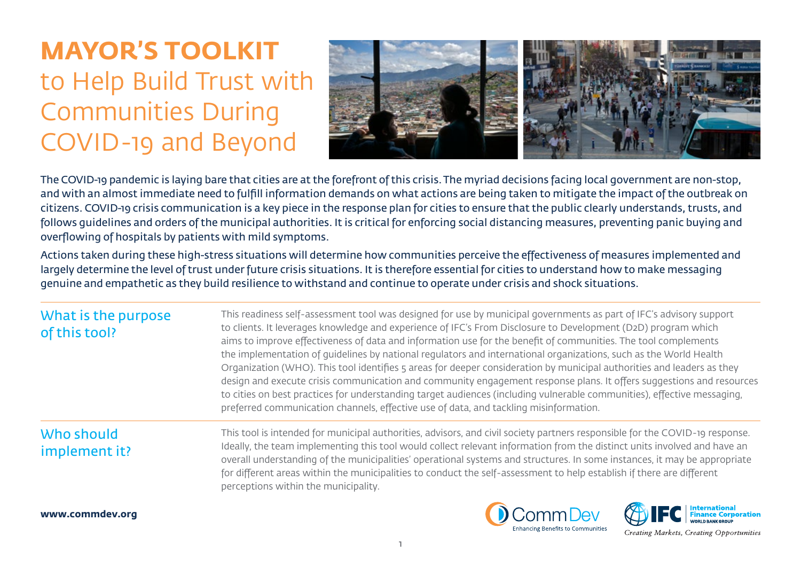# **MAYOR'S TOOLKIT**  to Help Build Trust with Communities During COVID-19 and Beyond



The COVID-19 pandemic is laying bare that cities are at the forefront of this crisis. The myriad decisions facing local government are non-stop, and with an almost immediate need to fulfill information demands on what actions are being taken to mitigate the impact of the outbreak on citizens. COVID-19 crisis communication is a key piece in the response plan for cities to ensure that the public clearly understands, trusts, and follows guidelines and orders of the municipal authorities. It is critical for enforcing social distancing measures, preventing panic buying and overflowing of hospitals by patients with mild symptoms.

Actions taken during these high-stress situations will determine how communities perceive the effectiveness of measures implemented and largely determine the level of trust under future crisis situations. It is therefore essential for cities to understand how to make messaging genuine and empathetic as they build resilience to withstand and continue to operate under crisis and shock situations.

| What is the purpose<br>of this tool? | This readiness self-assessment tool was designed for use by municipal governments as part of IFC's advisory support<br>to clients. It leverages knowledge and experience of IFC's From Disclosure to Development (D2D) program which<br>aims to improve effectiveness of data and information use for the benefit of communities. The tool complements<br>the implementation of quidelines by national regulators and international organizations, such as the World Health<br>Organization (WHO). This tool identifies 5 areas for deeper consideration by municipal authorities and leaders as they<br>design and execute crisis communication and community engagement response plans. It offers suggestions and resources<br>to cities on best practices for understanding target audiences (including vulnerable communities), effective messaging,<br>preferred communication channels, effective use of data, and tackling misinformation. |
|--------------------------------------|---------------------------------------------------------------------------------------------------------------------------------------------------------------------------------------------------------------------------------------------------------------------------------------------------------------------------------------------------------------------------------------------------------------------------------------------------------------------------------------------------------------------------------------------------------------------------------------------------------------------------------------------------------------------------------------------------------------------------------------------------------------------------------------------------------------------------------------------------------------------------------------------------------------------------------------------------|
| Who should<br>implement it?          | This tool is intended for municipal authorities, advisors, and civil society partners responsible for the COVID-19 response.<br>Ideally, the team implementing this tool would collect relevant information from the distinct units involved and have an<br>overall understanding of the municipalities' operational systems and structures. In some instances, it may be appropriate<br>for different areas within the municipalities to conduct the self-assessment to help establish if there are different<br>perceptions within the municipality.                                                                                                                                                                                                                                                                                                                                                                                            |
|                                      | <b>EXAMPLE PERSONAL PROPERTY AND INCOME.</b><br>$\bigcap_{n=1}^{\infty}$                                                                                                                                                                                                                                                                                                                                                                                                                                                                                                                                                                                                                                                                                                                                                                                                                                                                          |

1



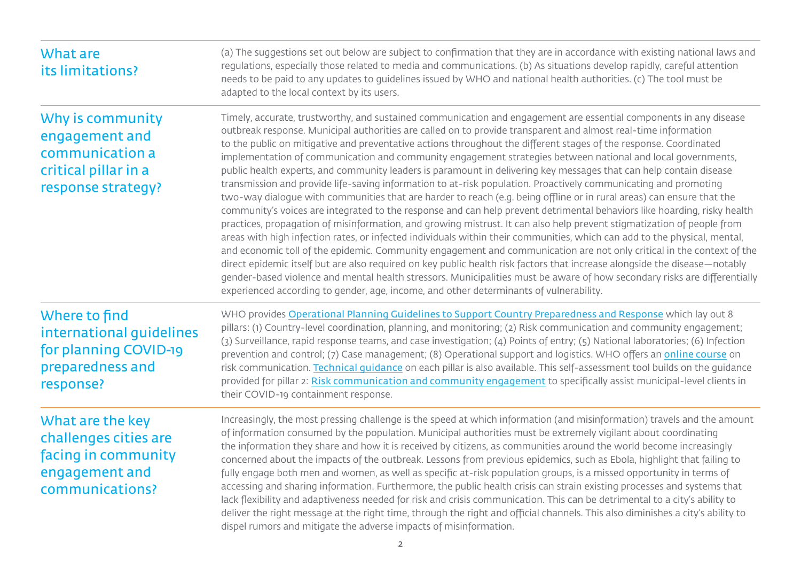| What are<br>its limitations?                                                                          | (a) The suggestions set out below are subject to confirmation that they are in accordance with existing national laws and<br>regulations, especially those related to media and communications. (b) As situations develop rapidly, careful attention<br>needs to be paid to any updates to guidelines issued by WHO and national health authorities. (c) The tool must be<br>adapted to the local context by its users.                                                                                                                                                                                                                                                                                                                                                                                                                                                                                                                                                                                                                                                                                                                                                                                                                                                                                                                                                                                                                                                                                                                                                                                                                                                                                    |
|-------------------------------------------------------------------------------------------------------|------------------------------------------------------------------------------------------------------------------------------------------------------------------------------------------------------------------------------------------------------------------------------------------------------------------------------------------------------------------------------------------------------------------------------------------------------------------------------------------------------------------------------------------------------------------------------------------------------------------------------------------------------------------------------------------------------------------------------------------------------------------------------------------------------------------------------------------------------------------------------------------------------------------------------------------------------------------------------------------------------------------------------------------------------------------------------------------------------------------------------------------------------------------------------------------------------------------------------------------------------------------------------------------------------------------------------------------------------------------------------------------------------------------------------------------------------------------------------------------------------------------------------------------------------------------------------------------------------------------------------------------------------------------------------------------------------------|
| Why is community<br>engagement and<br>communication a<br>critical pillar in a<br>response strategy?   | Timely, accurate, trustworthy, and sustained communication and engagement are essential components in any disease<br>outbreak response. Municipal authorities are called on to provide transparent and almost real-time information<br>to the public on mitigative and preventative actions throughout the different stages of the response. Coordinated<br>implementation of communication and community engagement strategies between national and local governments,<br>public health experts, and community leaders is paramount in delivering key messages that can help contain disease<br>transmission and provide life-saving information to at-risk population. Proactively communicating and promoting<br>two-way dialogue with communities that are harder to reach (e.g. being offline or in rural areas) can ensure that the<br>community's voices are integrated to the response and can help prevent detrimental behaviors like hoarding, risky health<br>practices, propagation of misinformation, and growing mistrust. It can also help prevent stigmatization of people from<br>areas with high infection rates, or infected individuals within their communities, which can add to the physical, mental,<br>and economic toll of the epidemic. Community engagement and communication are not only critical in the context of the<br>direct epidemic itself but are also required on key public health risk factors that increase alongside the disease-notably<br>gender-based violence and mental health stressors. Municipalities must be aware of how secondary risks are differentially<br>experienced according to gender, age, income, and other determinants of vulnerability. |
| Where to find<br>international guidelines<br>for planning COVID-19<br>preparedness and<br>response?   | WHO provides Operational Planning Guidelines to Support Country Preparedness and Response which lay out 8<br>pillars: (1) Country-level coordination, planning, and monitoring; (2) Risk communication and community engagement;<br>(3) Surveillance, rapid response teams, and case investigation; (4) Points of entry; (5) National laboratories; (6) Infection<br>prevention and control; (7) Case management; (8) Operational support and logistics. WHO offers an online course on<br>risk communication. Technical quidance on each pillar is also available. This self-assessment tool builds on the guidance<br>provided for pillar 2: Risk communication and community engagement to specifically assist municipal-level clients in<br>their COVID-19 containment response.                                                                                                                                                                                                                                                                                                                                                                                                                                                                                                                                                                                                                                                                                                                                                                                                                                                                                                                       |
| What are the key<br>challenges cities are<br>facing in community<br>engagement and<br>communications? | Increasingly, the most pressing challenge is the speed at which information (and misinformation) travels and the amount<br>of information consumed by the population. Municipal authorities must be extremely vigilant about coordinating<br>the information they share and how it is received by citizens, as communities around the world become increasingly<br>concerned about the impacts of the outbreak. Lessons from previous epidemics, such as Ebola, highlight that failing to<br>fully engage both men and women, as well as specific at-risk population groups, is a missed opportunity in terms of<br>accessing and sharing information. Furthermore, the public health crisis can strain existing processes and systems that<br>lack flexibility and adaptiveness needed for risk and crisis communication. This can be detrimental to a city's ability to<br>deliver the right message at the right time, through the right and official channels. This also diminishes a city's ability to<br>dispel rumors and mitigate the adverse impacts of misinformation.                                                                                                                                                                                                                                                                                                                                                                                                                                                                                                                                                                                                                           |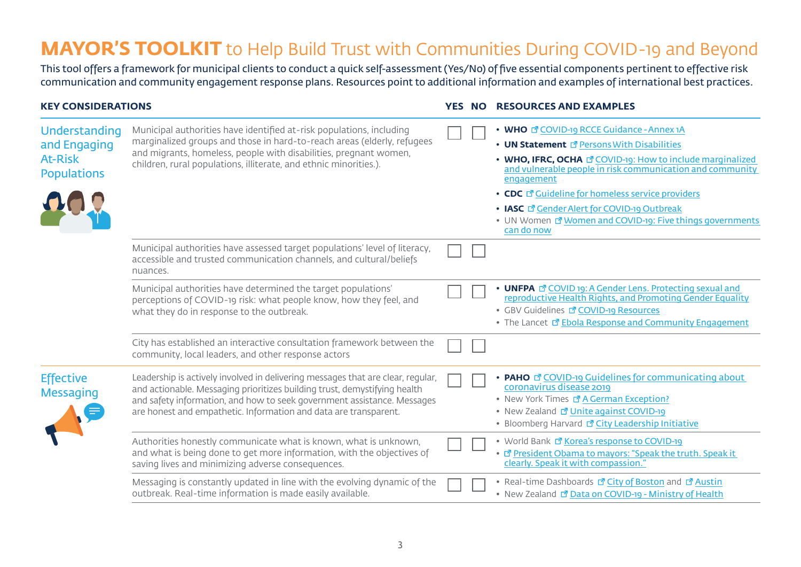## **MAYOR'S TOOLKIT** to Help Build Trust with Communities During COVID-19 and Beyond

This tool offers a framework for municipal clients to conduct a quick self-assessment (Yes/No) of five essential components pertinent to effective risk communication and community engagement response plans. Resources point to additional information and examples of international best practices.

#### **KEY CONSIDERATIONS YES NO RESOURCES AND EXAMPLES**

| Understanding<br>and Engaging<br><b>At-Risk</b><br><b>Populations</b> | Municipal authorities have identified at-risk populations, including<br>marginalized groups and those in hard-to-reach areas (elderly, refugees<br>and migrants, homeless, people with disabilities, pregnant women,<br>children, rural populations, illiterate, and ethnic minorities.).                   |  | • WHO E COVID-19 RCCE Guidance - Annex 1A<br>• UN Statement <sup><sup>a</sup> Persons With Disabilities</sup><br>• WHO, IFRC, OCHA <b>P</b> COVID-19: How to include marginalized<br>and vulnerable people in risk communication and community<br>engagement<br>• CDC $\vec{C}$ Guideline for homeless service providers<br>• IASC E Gender Alert for COVID-19 Outbreak<br>• UN Women E Women and COVID-19: Five things governments<br>can do now |
|-----------------------------------------------------------------------|-------------------------------------------------------------------------------------------------------------------------------------------------------------------------------------------------------------------------------------------------------------------------------------------------------------|--|---------------------------------------------------------------------------------------------------------------------------------------------------------------------------------------------------------------------------------------------------------------------------------------------------------------------------------------------------------------------------------------------------------------------------------------------------|
|                                                                       | Municipal authorities have assessed target populations' level of literacy,<br>accessible and trusted communication channels, and cultural/beliefs<br>nuances.                                                                                                                                               |  |                                                                                                                                                                                                                                                                                                                                                                                                                                                   |
|                                                                       | Municipal authorities have determined the target populations'<br>perceptions of COVID-19 risk: what people know, how they feel, and<br>what they do in response to the outbreak.                                                                                                                            |  | • UNFPA <b>B</b> COVID 19: A Gender Lens. Protecting sexual and<br>reproductive Health Rights, and Promoting Gender Equality<br>• GBV Guidelines <b>T</b> COVID-19 Resources<br>• The Lancet <sup>®</sup> Ebola Response and Community Engagement                                                                                                                                                                                                 |
|                                                                       | City has established an interactive consultation framework between the<br>community, local leaders, and other response actors                                                                                                                                                                               |  |                                                                                                                                                                                                                                                                                                                                                                                                                                                   |
| <b>Effective</b><br><b>Messaging</b>                                  | Leadership is actively involved in delivering messages that are clear, regular,<br>and actionable. Messaging prioritizes building trust, demystifying health<br>and safety information, and how to seek government assistance. Messages<br>are honest and empathetic. Information and data are transparent. |  | <b>PAHO <i>d</i></b> COVID-19 Guidelines for communicating about<br>coronavirus disease 2019<br>• New York Times <b>E</b> A German Exception?<br>• New Zealand <b>7</b> Unite against COVID-19<br>• Bloomberg Harvard & City Leadership Initiative                                                                                                                                                                                                |
|                                                                       | Authorities honestly communicate what is known, what is unknown,<br>and what is being done to get more information, with the objectives of<br>saving lives and minimizing adverse consequences.                                                                                                             |  | • World Bank Land Korea's response to COVID-19<br>• T President Obama to mayors: "Speak the truth. Speak it<br>clearly. Speak it with compassion."                                                                                                                                                                                                                                                                                                |
|                                                                       | Messaging is constantly updated in line with the evolving dynamic of the<br>outbreak. Real-time information is made easily available.                                                                                                                                                                       |  | • Real-time Dashboards <b>B</b> City of Boston and <b>B</b> Austin<br>• New Zealand & Data on COVID-19 - Ministry of Health                                                                                                                                                                                                                                                                                                                       |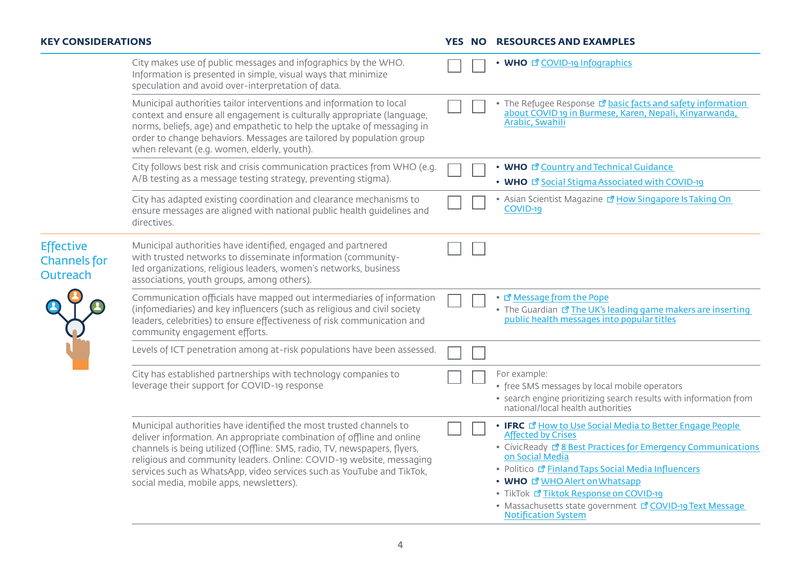| <b>KEY CONSIDERATIONS</b>                           |                                                                                                                                                                                                                                                                                                                                                                                                                      |  | <b>YES NO RESOURCES AND EXAMPLES</b>                                                                                                                                                                                                                                                                                                                                                                                           |
|-----------------------------------------------------|----------------------------------------------------------------------------------------------------------------------------------------------------------------------------------------------------------------------------------------------------------------------------------------------------------------------------------------------------------------------------------------------------------------------|--|--------------------------------------------------------------------------------------------------------------------------------------------------------------------------------------------------------------------------------------------------------------------------------------------------------------------------------------------------------------------------------------------------------------------------------|
|                                                     | City makes use of public messages and infographics by the WHO.<br>Information is presented in simple, visual ways that minimize<br>speculation and avoid over-interpretation of data.                                                                                                                                                                                                                                |  | • WHO <b><i><sup>d</sup></i></b> COVID-19 Infographics                                                                                                                                                                                                                                                                                                                                                                         |
|                                                     | Municipal authorities tailor interventions and information to local<br>context and ensure all engagement is culturally appropriate (language,<br>norms, beliefs, age) and empathetic to help the uptake of messaging in<br>order to change behaviors. Messages are tailored by population group<br>when relevant (e.g. women, elderly, youth).                                                                       |  | • The Refugee Response <sup>n</sup> basic facts and safety information<br>about COVID 19 in Burmese, Karen, Nepali, Kinyarwanda,<br>Arabic, Swahili                                                                                                                                                                                                                                                                            |
|                                                     | City follows best risk and crisis communication practices from WHO (e.g.<br>A/B testing as a message testing strategy, preventing stigma).                                                                                                                                                                                                                                                                           |  | • WHO <b><i>R</i></b> Country and Technical Guidance<br>• WHO I Social Stigma Associated with COVID-19                                                                                                                                                                                                                                                                                                                         |
|                                                     | City has adapted existing coordination and clearance mechanisms to<br>ensure messages are aligned with national public health guidelines and<br>directives.                                                                                                                                                                                                                                                          |  | • Asian Scientist Magazine <sup>a</sup> How Singapore Is Taking On<br>COVID-19                                                                                                                                                                                                                                                                                                                                                 |
| <b>Effective</b><br><b>Channels</b> for<br>Outreach | Municipal authorities have identified, engaged and partnered<br>with trusted networks to disseminate information (community-<br>led organizations, religious leaders, women's networks, business<br>associations, youth groups, among others).                                                                                                                                                                       |  |                                                                                                                                                                                                                                                                                                                                                                                                                                |
|                                                     | Communication officials have mapped out intermediaries of information<br>(infomediaries) and key influencers (such as religious and civil society<br>leaders, celebrities) to ensure effectiveness of risk communication and<br>community engagement efforts.                                                                                                                                                        |  | • C' Message from the Pope<br>• The Guardian <b>I</b> The UK's leading game makers are inserting<br>public health messages into popular titles                                                                                                                                                                                                                                                                                 |
|                                                     | Levels of ICT penetration among at-risk populations have been assessed.                                                                                                                                                                                                                                                                                                                                              |  |                                                                                                                                                                                                                                                                                                                                                                                                                                |
|                                                     | City has established partnerships with technology companies to<br>leverage their support for COVID-19 response                                                                                                                                                                                                                                                                                                       |  | For example:<br>• free SMS messages by local mobile operators<br>• search engine prioritizing search results with information from<br>national/local health authorities                                                                                                                                                                                                                                                        |
|                                                     | Municipal authorities have identified the most trusted channels to<br>deliver information. An appropriate combination of offline and online<br>channels is being utilized (Offline: SMS, radio, TV, newspapers, flyers,<br>religious and community leaders. Online: COVID-19 website, messaging<br>services such as WhatsApp, video services such as YouTube and TikTok,<br>social media, mobile apps, newsletters). |  | • IFRC <b>E</b> How to Use Social Media to Better Engage People<br><b>Affected by Crises</b><br>• CivicReady & Best Practices for Emergency Communications<br>on Social Media<br>• Politico <sup>®</sup> Finland Taps Social Media Influencers<br>• WHO E WHO Alert on Whatsapp<br>• TikTok & Tiktok Response on COVID-19<br>• Massachusetts state government <sup>7</sup> COVID-19 Text Message<br><b>Notification System</b> |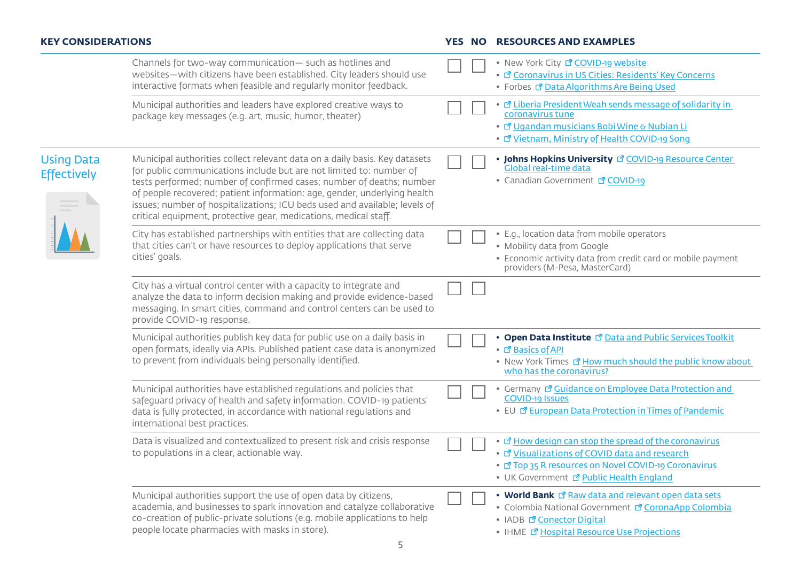### **KEY CONSIDERATIONS YES NO RESOURCES AND EXAMPLES**

|                                         | Channels for two-way communication- such as hotlines and<br>websites-with citizens have been established. City leaders should use<br>interactive formats when feasible and regularly monitor feedback.                                                                                                                                                                                                                                                  |  | • New York City <b>Z COVID-19 website</b><br>• La Coronavirus in US Cities: Residents' Key Concerns<br>• Forbes & Data Algorithms Are Being Used                                                                                   |
|-----------------------------------------|---------------------------------------------------------------------------------------------------------------------------------------------------------------------------------------------------------------------------------------------------------------------------------------------------------------------------------------------------------------------------------------------------------------------------------------------------------|--|------------------------------------------------------------------------------------------------------------------------------------------------------------------------------------------------------------------------------------|
|                                         | Municipal authorities and leaders have explored creative ways to<br>package key messages (e.g. art, music, humor, theater)                                                                                                                                                                                                                                                                                                                              |  | • Liberia President Weah sends message of solidarity in<br>coronavirus tune<br>• La Ugandan musicians Bobi Wine & Nubian Li<br>• La Vietnam, Ministry of Health COVID-19 Song                                                      |
| <b>Using Data</b><br><b>Effectively</b> | Municipal authorities collect relevant data on a daily basis. Key datasets<br>for public communications include but are not limited to: number of<br>tests performed; number of confirmed cases; number of deaths; number<br>of people recovered; patient information: age, gender, underlying health<br>issues; number of hospitalizations; ICU beds used and available; levels of<br>critical equipment, protective gear, medications, medical staff. |  | • Johns Hopkins University <b>T</b> COVID-19 Resource Center<br>Global real-time data<br>• Canadian Government F COVID-19                                                                                                          |
|                                         | City has established partnerships with entities that are collecting data<br>that cities can't or have resources to deploy applications that serve<br>cities' goals.                                                                                                                                                                                                                                                                                     |  | • E.g., location data from mobile operators<br>• Mobility data from Google<br>• Economic activity data from credit card or mobile payment<br>providers (M-Pesa, MasterCard)                                                        |
|                                         | City has a virtual control center with a capacity to integrate and<br>analyze the data to inform decision making and provide evidence-based<br>messaging. In smart cities, command and control centers can be used to<br>provide COVID-19 response.                                                                                                                                                                                                     |  |                                                                                                                                                                                                                                    |
|                                         | Municipal authorities publish key data for public use on a daily basis in<br>open formats, ideally via APIs. Published patient case data is anonymized<br>to prevent from individuals being personally identified.                                                                                                                                                                                                                                      |  | • Open Data Institute <b>B</b> Data and Public Services Toolkit<br>• L' Basics of API<br>• New York Times <b><i>P</i></b> How much should the public know about<br>who has the coronavirus?                                        |
|                                         | Municipal authorities have established regulations and policies that<br>safeguard privacy of health and safety information. COVID-19 patients'<br>data is fully protected, in accordance with national regulations and<br>international best practices.                                                                                                                                                                                                 |  | • Germany & Guidance on Employee Data Protection and<br><b>COVID-19 Issues</b><br>• EU & European Data Protection in Times of Pandemic                                                                                             |
|                                         | Data is visualized and contextualized to present risk and crisis response<br>to populations in a clear, actionable way.                                                                                                                                                                                                                                                                                                                                 |  | • T How design can stop the spread of the coronavirus<br>• E' Visualizations of COVID data and research<br>• L <sup>a</sup> Top 35 R resources on Novel COVID-19 Coronavirus<br>• UK Government <sup>n</sup> Public Health England |
|                                         | Municipal authorities support the use of open data by citizens,<br>academia, and businesses to spark innovation and catalyze collaborative<br>co-creation of public-private solutions (e.g. mobile applications to help<br>people locate pharmacies with masks in store).                                                                                                                                                                               |  | • World Bank I Raw data and relevant open data sets<br>• Colombia National Government <sup>7</sup> CoronaApp Colombia<br>• IADB <b><i><sup>d</sup></i></b> Conector Digital<br>• IHME La Hospital Resource Use Projections         |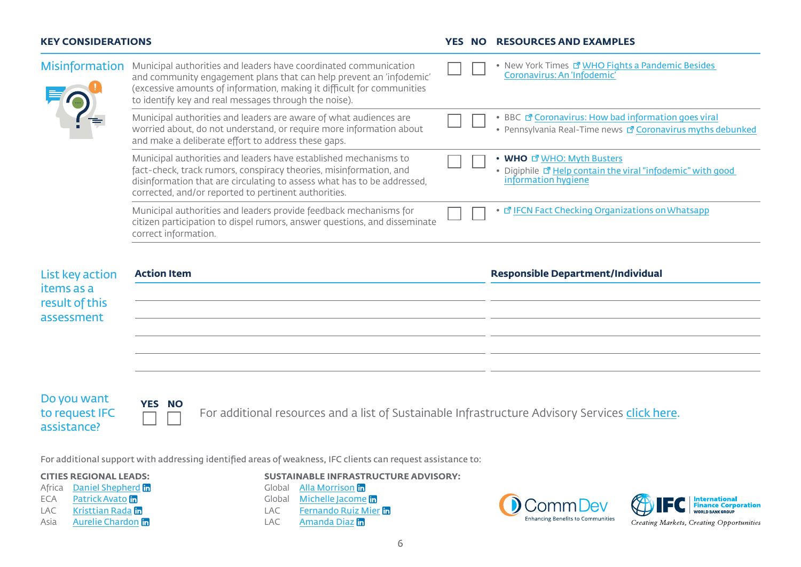#### **KEY CONSIDERATIONS YES NO RESOURCES AND EXAMPLES**

| <b>Misinformation</b>  | Municipal authorities and leaders have coordinated communication<br>and community engagement plans that can help prevent an 'infodemic'<br>(excessive amounts of information, making it difficult for communities<br>to identify key and real messages through the noise). |  | New York Times <b>T</b> WHO Fights a Pandemic Besides<br>Coronavirus: An 'Infodemic'                                                  |
|------------------------|----------------------------------------------------------------------------------------------------------------------------------------------------------------------------------------------------------------------------------------------------------------------------|--|---------------------------------------------------------------------------------------------------------------------------------------|
|                        | Municipal authorities and leaders are aware of what audiences are<br>worried about, do not understand, or require more information about<br>and make a deliberate effort to address these gaps.                                                                            |  | BBC <b><i>R</i></b> Coronavirus: How bad information goes viral<br>• Pennsylvania Real-Time news <b>B</b> Coronavirus myths debunked  |
|                        | Municipal authorities and leaders have established mechanisms to<br>fact-check, track rumors, conspiracy theories, misinformation, and<br>disinformation that are circulating to assess what has to be addressed,<br>corrected, and/or reported to pertinent authorities.  |  | <b>WHO <i>d</i></b> WHO: Myth Busters<br>• Digiphile <sup>®</sup> Help contain the viral "infodemic" with good<br>information hygiene |
|                        | Municipal authorities and leaders provide feedback mechanisms for<br>citizen participation to dispel rumors, answer questions, and disseminate<br>correct information.                                                                                                     |  | 団 IFCN Fact Checking Organizations on Whatsapp                                                                                        |
| <b>List key action</b> | <b>Action Item</b>                                                                                                                                                                                                                                                         |  | <b>Responsible Department/Individual</b>                                                                                              |

| List key action<br>items as a | <b>Action Item</b> | <b>Responsible Department/Individual</b> |
|-------------------------------|--------------------|------------------------------------------|
|                               |                    |                                          |
| result of this                |                    |                                          |
| assessment                    |                    |                                          |
|                               |                    |                                          |
|                               |                    |                                          |
|                               |                    |                                          |

Do you want to request IFC assistance?



For additional resources and a list of Sustainable Infrastructure Advisory Services [click here](#page-6-0).

For additional support with addressing identified areas of weakness, IFC clients can request assistance to:

### **CITIES REGIONAL LEADS:**

- Africa **[Daniel Shepherd](https://www.linkedin.com/in/daniel-shepherd-4a236aa1/)** in ECA [Patrick Avato](https://www.linkedin.com/in/avato/) in
- LAC [Kristtian Rada](https://www.linkedin.com/in/kristtian-rada-65787a183/) in
- 
- Asia **[Aurelie Chardon](https://www.linkedin.com/in/aurelie-chardon-617bb11/)**

**SUSTAINABLE INFRASTRUCTURE ADVISORY:**

Global [Alla Morrison](https://www.linkedin.com/in/alla-morrison/) in Global [Michelle Jacome](https://www.linkedin.com/in/michellejacome/)<sup>th</sup>

LAC [Fernando Ruiz Mier](https://www.linkedin.com/in/fernando-ruiz-mier-778a15a0/) LAC [Amanda Diaz](https://www.linkedin.com/in/amanda-d%C3%ADaz-20b0a324/) in





Creating Markets, Creating Opportunities